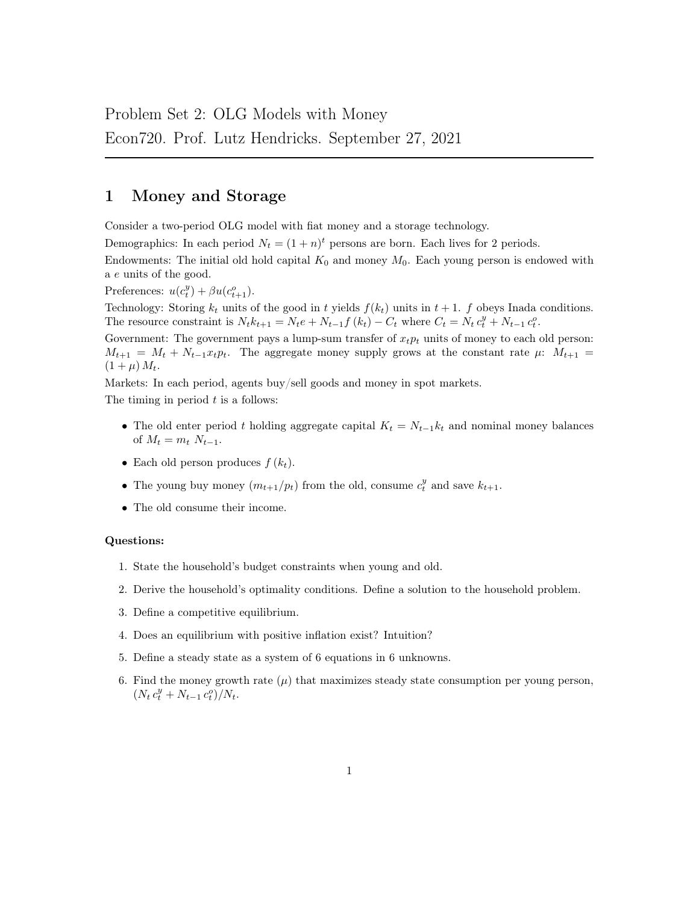# 1 Money and Storage

Consider a two-period OLG model with fiat money and a storage technology.

Demographics: In each period  $N_t = (1 + n)^t$  persons are born. Each lives for 2 periods.

Endowments: The initial old hold capital  $K_0$  and money  $M_0$ . Each young person is endowed with a e units of the good.

Preferences:  $u(c_t^y) + \beta u(c_{t+1}^o)$ .

Technology: Storing  $k_t$  units of the good in t yields  $f(k_t)$  units in  $t + 1$ . f obeys Inada conditions. The resource constraint is  $N_t k_{t+1} = N_t e + N_{t-1} f(k_t) - C_t$  where  $C_t = N_t c_t^y + N_{t-1} c_t^o$ .

Government: The government pays a lump-sum transfer of  $x_t p_t$  units of money to each old person:  $M_{t+1} = M_t + N_{t-1}x_t p_t$ . The aggregate money supply grows at the constant rate  $\mu$ :  $M_{t+1}$  $(1 + \mu) M_t$ .

Markets: In each period, agents buy/sell goods and money in spot markets.

The timing in period  $t$  is a follows:

- The old enter period t holding aggregate capital  $K_t = N_{t-1}k_t$  and nominal money balances of  $M_t = m_t N_{t-1}$ .
- Each old person produces  $f(k_t)$ .
- The young buy money  $(m_{t+1}/p_t)$  from the old, consume  $c_t^y$  and save  $k_{t+1}$ .
- The old consume their income.

#### Questions:

- 1. State the household's budget constraints when young and old.
- 2. Derive the household's optimality conditions. Define a solution to the household problem.
- 3. Define a competitive equilibrium.
- 4. Does an equilibrium with positive inflation exist? Intuition?
- 5. Define a steady state as a system of 6 equations in 6 unknowns.
- 6. Find the money growth rate  $(\mu)$  that maximizes steady state consumption per young person,  $(N_t c_t^y + N_{t-1} c_t^o)/N_t.$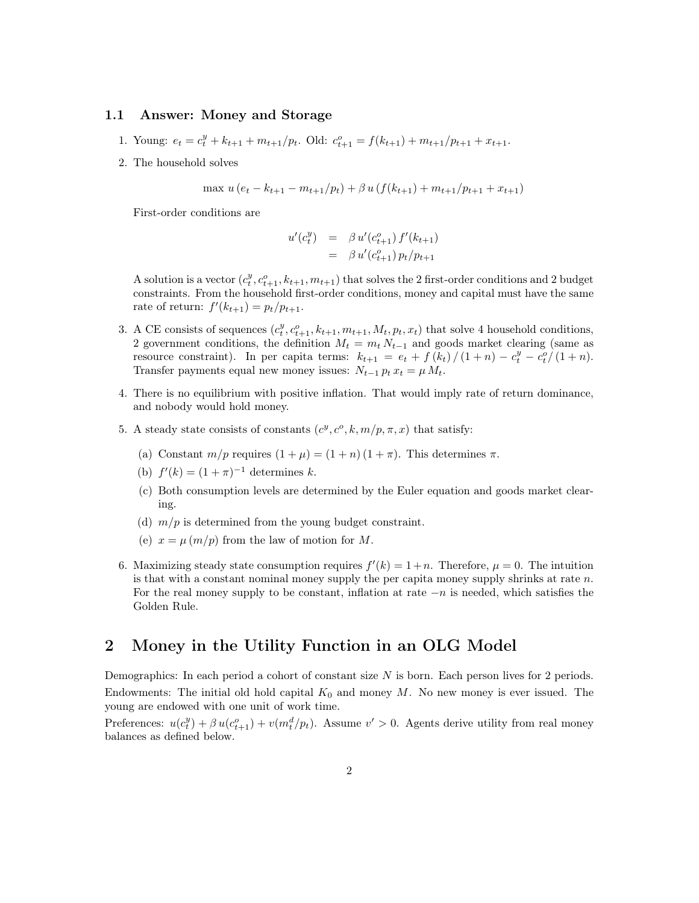### 1.1 Answer: Money and Storage

- 1. Young:  $e_t = c_t^y + k_{t+1} + m_{t+1}/p_t$ . Old:  $c_{t+1}^o = f(k_{t+1}) + m_{t+1}/p_{t+1} + x_{t+1}$ .
- 2. The household solves

$$
\max u(e_t - k_{t+1} - m_{t+1}/p_t) + \beta u(f(k_{t+1}) + m_{t+1}/p_{t+1} + x_{t+1})
$$

First-order conditions are

$$
u'(c_t^y) = \beta u'(c_{t+1}^o) f'(k_{t+1})
$$
  
=  $\beta u'(c_{t+1}^o) p_t/p_{t+1}$ 

A solution is a vector  $(c_t^y, c_{t+1}^o, k_{t+1}, m_{t+1})$  that solves the 2 first-order conditions and 2 budget constraints. From the household first-order conditions, money and capital must have the same rate of return:  $f'(k_{t+1}) = p_t/p_{t+1}$ .

- 3. A CE consists of sequences  $(c_t^y, c_{t+1}^o, k_{t+1}, m_{t+1}, M_t, p_t, x_t)$  that solve 4 household conditions, 2 government conditions, the definition  $M_t = m_t N_{t-1}$  and goods market clearing (same as resource constraint). In per capita terms:  $k_{t+1} = e_t + f(k_t)/(1+n) - c_t^y - c_t^o/(1+n)$ . Transfer payments equal new money issues:  $N_{t-1} p_t x_t = \mu M_t$ .
- 4. There is no equilibrium with positive inflation. That would imply rate of return dominance, and nobody would hold money.
- 5. A steady state consists of constants  $(c^y, c^o, k, m/p, \pi, x)$  that satisfy:
	- (a) Constant  $m/p$  requires  $(1 + \mu) = (1 + n)(1 + \pi)$ . This determines  $\pi$ .
	- (b)  $f'(k) = (1 + \pi)^{-1}$  determines k.
	- (c) Both consumption levels are determined by the Euler equation and goods market clearing.
	- (d)  $m/p$  is determined from the young budget constraint.
	- (e)  $x = \mu(m/p)$  from the law of motion for M.
- 6. Maximizing steady state consumption requires  $f'(k) = 1 + n$ . Therefore,  $\mu = 0$ . The intuition is that with a constant nominal money supply the per capita money supply shrinks at rate  $n$ . For the real money supply to be constant, inflation at rate  $-n$  is needed, which satisfies the Golden Rule.

## 2 Money in the Utility Function in an OLG Model

Demographics: In each period a cohort of constant size  $N$  is born. Each person lives for 2 periods. Endowments: The initial old hold capital  $K_0$  and money M. No new money is ever issued. The young are endowed with one unit of work time.

Preferences:  $u(c_t^y) + \beta u(c_{t+1}^o) + v(m_t^d/p_t)$ . Assume  $v' > 0$ . Agents derive utility from real money balances as defined below.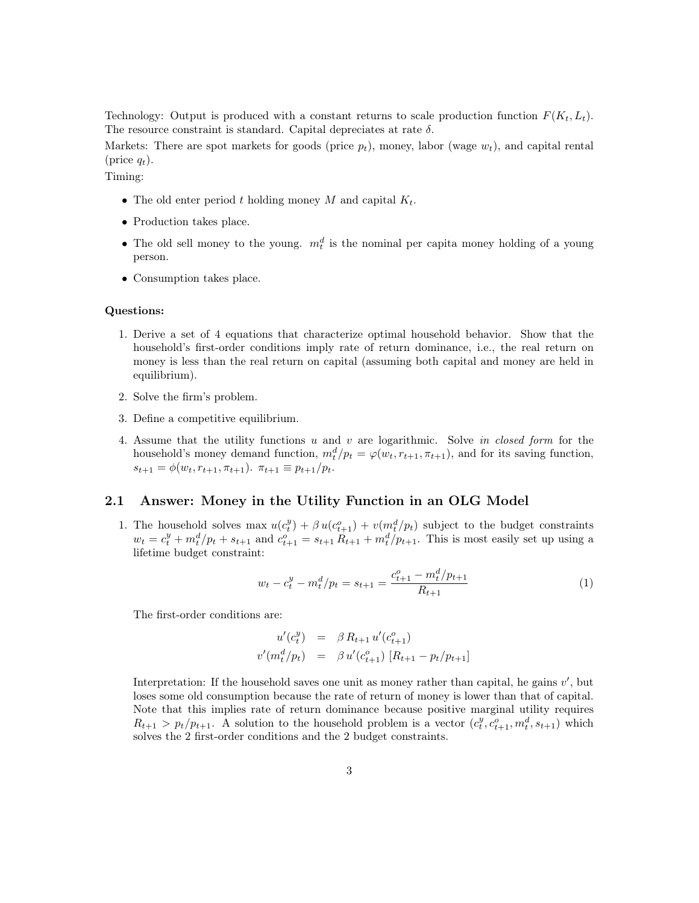Technology: Output is produced with a constant returns to scale production function  $F(K_t, L_t)$ . The resource constraint is standard. Capital depreciates at rate  $\delta$ .

Markets: There are spot markets for goods (price  $p_t$ ), money, labor (wage  $w_t$ ), and capital rental (price  $q_t$ ).

Timing:

- The old enter period t holding money  $M$  and capital  $K_t$ .
- Production takes place.
- The old sell money to the young.  $m_t^d$  is the nominal per capita money holding of a young person.
- Consumption takes place.

#### Questions:

- 1. Derive a set of 4 equations that characterize optimal household behavior. Show that the household's first-order conditions imply rate of return dominance, i.e., the real return on money is less than the real return on capital (assuming both capital and money are held in equilibrium).
- 2. Solve the firm's problem.
- 3. Define a competitive equilibrium.
- 4. Assume that the utility functions u and v are logarithmic. Solve in closed form for the household's money demand function,  $m_t^d/p_t = \varphi(w_t, r_{t+1}, \pi_{t+1})$ , and for its saving function,  $s_{t+1} = \phi(w_t, r_{t+1}, \pi_{t+1})$ .  $\pi_{t+1} \equiv p_{t+1}/p_t$ .

### 2.1 Answer: Money in the Utility Function in an OLG Model

1. The household solves max  $u(c_t^y) + \beta u(c_{t+1}^o) + v(m_t^d/p_t)$  subject to the budget constraints  $w_t = c_t^y + m_t^d / p_t + s_{t+1}$  and  $c_{t+1}^o = s_{t+1} R_{t+1} + m_t^d / p_{t+1}$ . This is most easily set up using a lifetime budget constraint:

$$
w_t - c_t^y - m_t^d / p_t = s_{t+1} = \frac{c_{t+1}^o - m_t^d / p_{t+1}}{R_{t+1}}
$$
\n<sup>(1)</sup>

The first-order conditions are:

$$
u'(c_t^y) = \beta R_{t+1} u'(c_{t+1}^o)
$$
  

$$
v'(m_t^d/p_t) = \beta u'(c_{t+1}^o) [R_{t+1} - p_t/p_{t+1}]
$$

Interpretation: If the household saves one unit as money rather than capital, he gains  $v'$ , but loses some old consumption because the rate of return of money is lower than that of capital. Note that this implies rate of return dominance because positive marginal utility requires  $R_{t+1} > p_t/p_{t+1}$ . A solution to the household problem is a vector  $(c_t^y, c_{t+1}^o, m_t^d, s_{t+1})$  which solves the 2 first-order conditions and the 2 budget constraints.